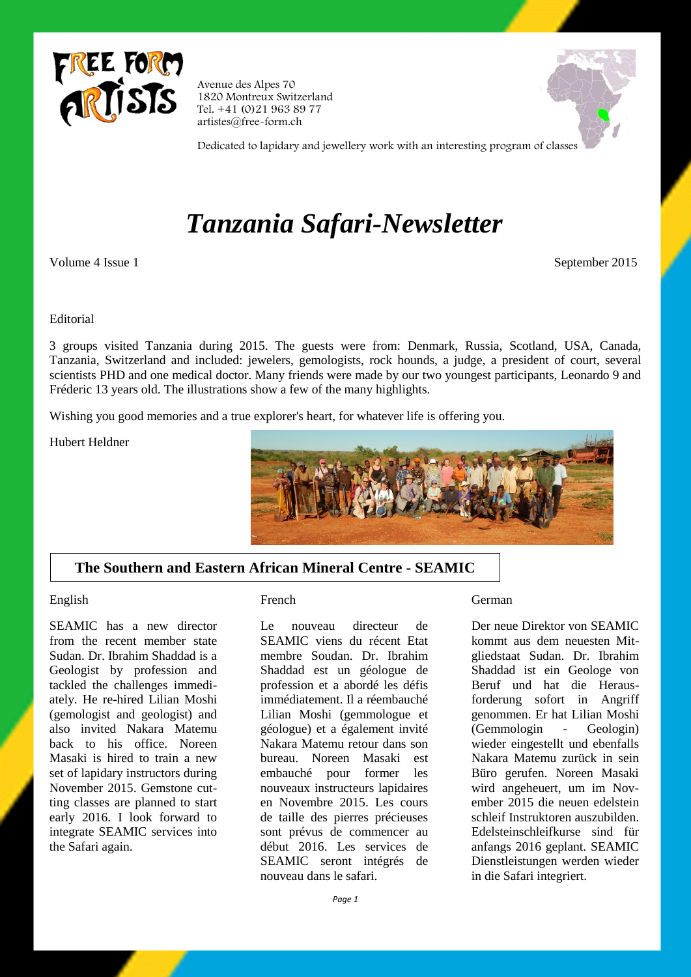

Avenue des Alpes 70 1820 Montreux Switzerland Tel. +41 (0)21 963 89 77 artistes@free-form.ch



Dedicated to lapidary and jewellery work with an interesting program of classes

# *Tanzania Safari-Newsletter*

Volume 4 Issue 1 September 2015

## Editorial

3 groups visited Tanzania during 2015. The guests were from: Denmark, Russia, Scotland, USA, Canada, Tanzania, Switzerland and included: jewelers, gemologists, rock hounds, a judge, a president of court, several scientists PHD and one medical doctor. Many friends were made by our two youngest participants, Leonardo 9 and Fréderic 13 years old. The illustrations show a few of the many highlights.

Wishing you good memories and a true explorer's heart, for whatever life is offering you.

Hubert Heldner



## **The Southern and Eastern African Mineral Centre - SEAMIC**

## English

SEAMIC has a new director from the recent member state Sudan. Dr. Ibrahim Shaddad is a Geologist by profession and tackled the challenges immediately. He re-hired Lilian Moshi (gemologist and geologist) and also invited Nakara Matemu back to his office. Noreen Masaki is hired to train a new set of lapidary instructors during November 2015. Gemstone cutting classes are planned to start early 2016. I look forward to integrate SEAMIC services into the Safari again.

### French

Le nouveau directeur de SEAMIC viens du récent Etat membre Soudan. Dr. Ibrahim Shaddad est un géologue de profession et a abordé les défis immédiatement. Il a réembauché Lilian Moshi (gemmologue et géologue) et a également invité Nakara Matemu retour dans son bureau. Noreen Masaki est embauché pour former les nouveaux instructeurs lapidaires en Novembre 2015. Les cours de taille des pierres précieuses sont prévus de commencer au début 2016. Les services de SEAMIC seront intégrés de nouveau dans le safari.

### German

Der neue Direktor von SEAMIC kommt aus dem neuesten Mitgliedstaat Sudan. Dr. Ibrahim Shaddad ist ein Geologe von Beruf und hat die Herausforderung sofort in Angriff genommen. Er hat Lilian Moshi (Gemmologin - Geologin) wieder eingestellt und ebenfalls Nakara Matemu zurück in sein Büro gerufen. Noreen Masaki wird angeheuert, um im November 2015 die neuen edelstein schleif Instruktoren auszubilden. Edelsteinschleifkurse sind für anfangs 2016 geplant. SEAMIC Dienstleistungen werden wieder in die Safari integriert.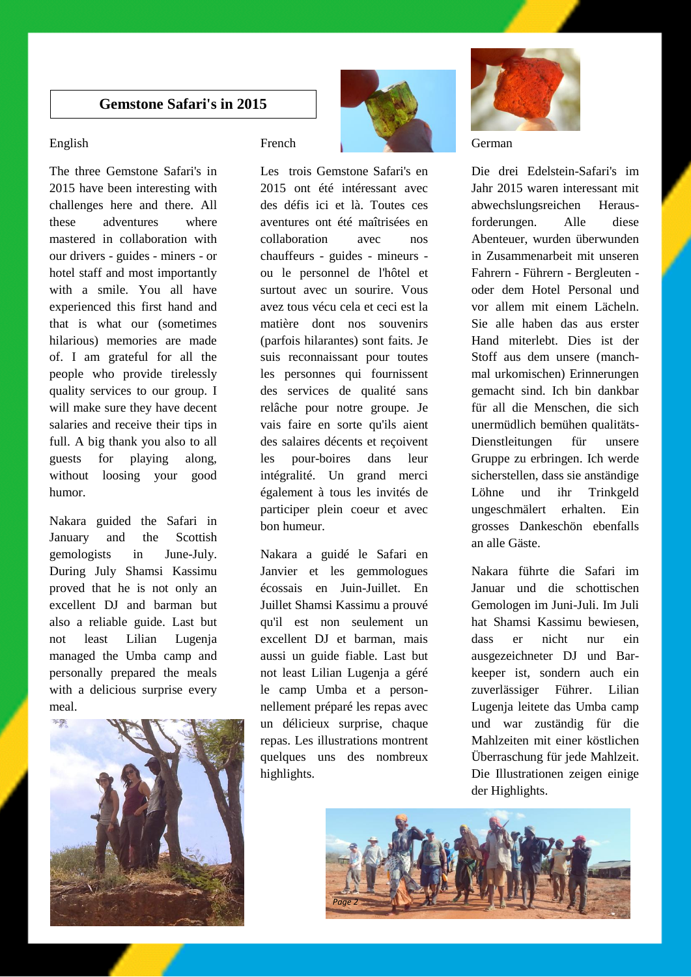## **Gemstone Safari's in 2015**

## English

The three Gemstone Safari's in 2015 have been interesting with challenges here and there. All these adventures where mastered in collaboration with our drivers - guides - miners - or hotel staff and most importantly with a smile. You all have experienced this first hand and that is what our (sometimes hilarious) memories are made of. I am grateful for all the people who provide tirelessly quality services to our group. I will make sure they have decent salaries and receive their tips in full. A big thank you also to all guests for playing along, without loosing your good humor.

Nakara guided the Safari in January and the Scottish gemologists in June-July. During July Shamsi Kassimu proved that he is not only an excellent DJ and barman but also a reliable guide. Last but not least Lilian Lugenja managed the Umba camp and personally prepared the meals with a delicious surprise every meal.



French

Les trois Gemstone Safari's en 2015 ont été intéressant avec des défis ici et là. Toutes ces aventures ont été maîtrisées en collaboration avec nos chauffeurs - guides - mineurs ou le personnel de l'hôtel et surtout avec un sourire. Vous avez tous vécu cela et ceci est la matière dont nos souvenirs (parfois hilarantes) sont faits. Je suis reconnaissant pour toutes les personnes qui fournissent des services de qualité sans relâche pour notre groupe. Je vais faire en sorte qu'ils aient des salaires décents et reçoivent les pour-boires dans leur intégralité. Un grand merci également à tous les invités de participer plein coeur et avec bon humeur.

Nakara a guidé le Safari en Janvier et les gemmologues écossais en Juin-Juillet. En Juillet Shamsi Kassimu a prouvé qu'il est non seulement un excellent DJ et barman, mais aussi un guide fiable. Last but not least Lilian Lugenja a géré le camp Umba et a personnellement préparé les repas avec un délicieux surprise, chaque repas. Les illustrations montrent quelques uns des nombreux highlights.



German

Die drei Edelstein-Safari's im Jahr 2015 waren interessant mit abwechslungsreichen Herausforderungen. Alle diese Abenteuer, wurden überwunden in Zusammenarbeit mit unseren Fahrern - Führern - Bergleuten oder dem Hotel Personal und vor allem mit einem Lächeln. Sie alle haben das aus erster Hand miterlebt. Dies ist der Stoff aus dem unsere (manchmal urkomischen) Erinnerungen gemacht sind. Ich bin dankbar für all die Menschen, die sich unermüdlich bemühen qualitäts-Dienstleitungen für unsere Gruppe zu erbringen. Ich werde sicherstellen, dass sie anständige Löhne und ihr Trinkgeld ungeschmälert erhalten. Ein grosses Dankeschön ebenfalls an alle Gäste.

Nakara führte die Safari im Januar und die schottischen Gemologen im Juni-Juli. Im Juli hat Shamsi Kassimu bewiesen, dass er nicht nur ein ausgezeichneter DJ und Barkeeper ist, sondern auch ein zuverlässiger Führer. Lilian Lugenja leitete das Umba camp und war zuständig für die Mahlzeiten mit einer köstlichen Überraschung für jede Mahlzeit. Die Illustrationen zeigen einige der Highlights.